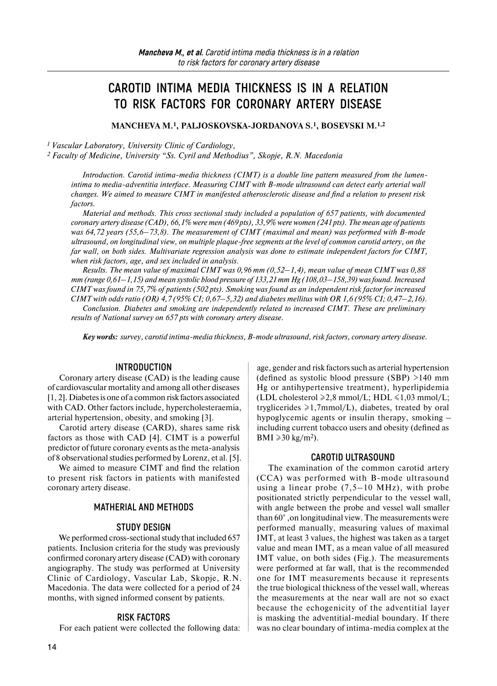# **CAROTID INTIMA MEDIA THICKNESS IS IN A RELATION TO RISK FACTORS FOR CORONARY ARTERY DISEASE**

**MANCHEVA M.1, PALJOSKOVSKA-JORDANOVA S.1, BOSEVSKI M.1,2**

*1 Vascular Laboratory, University Clinic of Cardiology,*

*2 Faculty of Medicine, University "Ss. Cyril and Methodius", Skopje, R.N. Macedonia*

*Introduction. Carotid intima-media thickness (CIMT) is a double line pattern measured from the lumenintima to media-adventitia interface. Measuring CIMT with B-mode ultrasound can detect early arterial wall changes. We aimed to measure CIMT in manifested atherosclerotic disease and find a relation to present risk factors.*

*Material and methods. This cross sectional study included a population of 657 patients, with documented coronary artery disease (CAD), 66,1% were men (469 pts), 33,9% were women (241 pts). The mean age of patients was 64,72 years (55,6–73,8). The measurement of CIMT (maximal and mean) was performed with B-mode ultrasound, on longitudinal view, on multiple plaque-free segments at the level of common carotid artery, on the far wall, on both sides. Multivariate regression analysis was done to estimate independent factors for CIMT, when risk factors, age, and sex included in analysis.*

*Results. The mean value of maximal CIMT was 0,96 mm (0,52–1,4), mean value of mean CIMT was 0,88 mm (range 0,61–1,15) and mean systolic blood pressure of 133,21 mm Hg (108,03–158,39) was found. Increased CIMT was found in 75,7% of patients (502 pts). Smoking was found as an independent risk factor for increased CIMT with odds ratio (OR) 4,7 (95% CI; 0,67–5,32) and diabetes mellitus with OR 1,6 (95% CI; 0,47–2,16).*

*Conclusion. Diabetes and smoking are independently related to increased CIMT. These are preliminary results of National survey on 657 pts with coronary artery disease.*

*Key words: survey, carotid intima-media thickness, B-mode ultrasound, risk factors, coronary artery disease.*

#### **INTRODUCTION**

Coronary artery disease (CAD) is the leading cause of cardiovascular mortality and among all other diseases [1, 2]. Diabetes is one of a common risk factors associated with CAD. Other factors include, hypercholesteraemia, arterial hypertension, obesity, and smoking [3].

Carotid artery disease (CARD), shares same risk factors as those with CAD [4]. CIMT is a powerful predictor of future coronary events as the meta-analysis of 8 observational studies performed by Lorenz, et al. [5].

We aimed to measure CIMT and find the relation to present risk factors in patients with manifested coronary artery disease.

## **MATHERIAL AND METHODS**

#### **STUDY DESIGN**

We performed cross-sectional study that included 657 patients. Inclusion criteria for the study was previously confirmed coronary artery disease (CAD) with coronary angiography. The study was performed at University Clinic of Cardiology, Vascular Lab, Skopje, R.N. Macedonia. The data were collected for a period of 24 months, with signed informed consent by patients.

## **RISK FACTORS**

For each patient were collected the following data:

age, gender and risk factors such as arterial hypertension (defined as systolic blood pressure (SBP) >140 mm Hg or antihypertensive treatment), hyperlipidemia (LDL cholesterol  $\geq 2.8$  mmol/L; HDL  $\leq 1.03$  mmol/L; tryglicerides ≥1,7mmol/L), diabetes, treated by oral hypoglycemic agents or insulin therapy, smoking – including current tobacco users and obesity (defined as BMI  $\geqslant$  30 kg/m<sup>2</sup>).

## **CAROTID ULTRASOUND**

The examination of the common carotid artery (CCA) was performed with B-mode ultrasound using a linear probe  $(7,5-10 \text{ MHz})$ , with probe positionated strictly perpendicular to the vessel wall, with angle between the probe and vessel wall smaller than 60° ,on longitudinal view. The measurements were performed manually, measuring values of maximal IMT, at least 3 values, the highest was taken as a target value and mean IMT, as a mean value of all measured IMT value, on both sides (Fig.). The measurements were performed at far wall, that is the recommended one for IMT measurements because it represents the true biological thickness of the vessel wall, whereas the measurements at the near wall are not so exact because the echogenicity of the adventitial layer is masking the adventitial-medial boundary. If there was no clear boundary of intima-media complex at the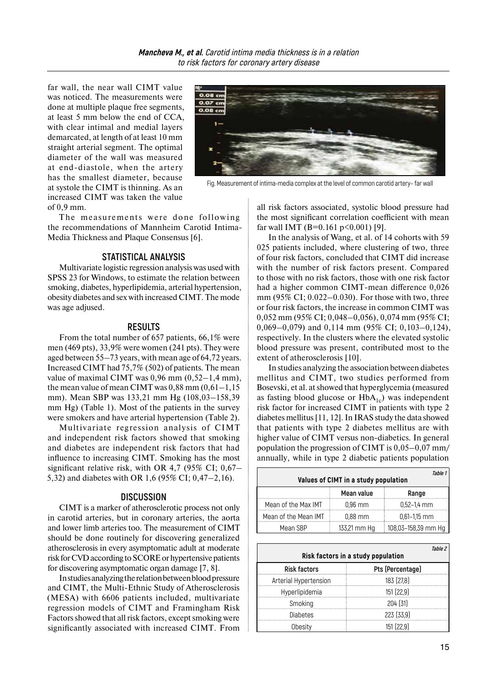far wall, the near wall CIMT value was noticed. The measurements were done at multiple plaque free segments, at least 5 mm below the end of CCA, with clear intimal and medial layers demarcated, at length of at least 10 mm straight arterial segment. The optimal diameter of the wall was measured at end-diastole, when the artery has the smallest diameter, because at systole the CIMT is thinning. As an increased CIMT was taken the value of 0,9 mm.

The measurements were done following the recommendations of Mannheim Carotid Intima-Media Thickness and Plaque Consensus [6].

## **STATISTICAL ANALYSIS**

Multivariate logistic regression analysis was used with SPSS 23 for Windows, to estimate the relation between smoking, diabetes, hyperlipidemia, arterial hypertension, obesity diabetes and sex with increased CIMT. The mode was age adjused.

#### **RESULTS**

From the total number of 657 patients, 66,1% were men (469 pts), 33,9% were women (241 pts). They were aged between 55–73 years, with mean age of 64,72 years. Increased CIMT had 75,7% (502) of patients. The mean value of maximal CIMT was  $0.96$  mm  $(0.52-1.4$  mm), the mean value of mean CIMT was  $0,88$  mm  $(0,61-1,15)$ mm). Mean SBP was 133,21 mm Hg (108,03–158,39 mm Hg) (Table 1). Most of the patients in the survey were smokers and have arterial hypertension (Table 2).

Multivariate regression analysis of CIMT and independent risk factors showed that smoking and diabetes are independent risk factors that had influence to increasing CIMT. Smoking has the most significant relative risk, with OR 4,7 (95% CI; 0,67– 5,32) and diabetes with OR 1,6 (95% CI; 0,47–2,16).

## **DISCUSSION**

CIMT is a marker of atherosclerotic process not only in carotid arteries, but in coronary arteries, the aorta and lower limb arteries too. The measurement of CIMT should be done routinely for discovering generalized atherosclerosis in every asymptomatic adult at moderate risk for CVD according to SCORE or hypertensive patients for discovering asymptomatic organ damage [7, 8].

Instudies analyzing therelation between blood pressure and CIMT, the Multi-Ethnic Study of Atherosclerosis (MESA) with 6606 patients included, multivariate regression models of CIMT and Framingham Risk Factors showed that all risk factors, except smoking were significantly associated with increased CIMT. From



Fig. Measurement of intima-media complex at the level of common carotid artery– far wall

all risk factors associated, systolic blood pressure had the most significant correlation coefficient with mean far wall IMT (B=0.161 p<0.001) [9].

In the analysis of Wang, et al. of 14 cohorts with 59 025 patients included, where clustering of two, three of four risk factors, concluded that CIMT did increase with the number of risk factors present. Compared to those with no risk factors, those with one risk factor had a higher common CIMT-mean difference 0,026 mm (95% CI; 0.022–0.030). For those with two, three or four risk factors, the increase in common CIMT was 0,052 mm (95% CI; 0,048–0,056), 0,074 mm (95% CI; 0,069–0,079) and 0,114 mm (95% CI; 0,103–0,124), respectively. In the clusters where the elevated systolic blood pressure was present, contributed most to the extent of atherosclerosis [10].

In studies analyzing the association between diabetes mellitus and CIMT, two studies performed from Bosevski, et al. at showed that hyperglycemia (measured as fasting blood glucose or  $HbA_{1c}$ ) was independent risk factor for increased CIMT in patients with type 2 diabetes mellitus [11, 12]. In IRAS study the data showed that patients with type 2 diabetes mellitus are with higher value of CIMT versus non-diabetics. In general population the progression of CIMT is 0,05–0,07 mm/ annually, while in type 2 diabetic patients population

| Table 1<br>Values of CIMT in a study population |              |                     |
|-------------------------------------------------|--------------|---------------------|
|                                                 | Mean value   | Range               |
| Mean of the Max IMT                             | $0.96$ mm    | $0,52-1,4$ mm       |
| Mean of the Mean IMT                            | $0.88$ mm    | $0,61-1,15$ mm      |
| Mean SBP                                        | 133,21 mm Hg | 108,03-158,39 mm Hg |

| Tahle <sub>2</sub><br>Risk factors in a study population |                  |  |
|----------------------------------------------------------|------------------|--|
| <b>Risk factors</b>                                      | Pts (Percentage) |  |
| Arterial Hypertension                                    | 183 [27.8]       |  |
| Hyperlipidemia                                           | 151 [22.9]       |  |
| Smoking                                                  | 204 [31]         |  |
| <b>Diabetes</b>                                          | 223 [33,9]       |  |
| <b>Obesity</b>                                           | 151 [22.9]       |  |